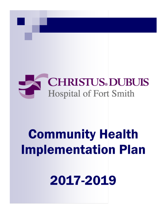

# **Community Health Implementation Plan**

2017-2019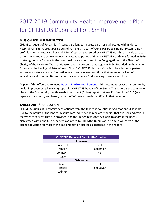## 2017-2019 Community Health Improvement Plan for CHRISTUS Dubuis of Fort Smith

#### **MISSION FOR IMPLEMENTATION**

CHRISTUS Dubuis of Fort Smith, Arkansas is a long term acute care hospital located within Mercy Hospital Fort Smith. CHRISTUS Dubuis of Fort Smith is part of CHRISTUS Dubuis Health System, a nonprofit long term acute care hospital (LTACH) system sponsored by CHRISTUS Health to provide care to patients who require acute care over an extended period of time. CHRISTUS Health was formed in 1999 to strengthen the Catholic faith-based health care ministries of the Congregations of the Sisters of Charity of the Incarnate Word of Houston and San Antonio that began in 1866. Founded on the mission "to extend the healing ministry of Jesus Christ," CHRISTUS Health's vision is to be a leader, a partner, and an advocate in creating innovative health and wellness solutions that improve the lives of individuals and communities so that all may experience God's healing presence and love.

As part of this effort and to meet **federal IRS 990H requirements**, this document serves as a community health improvement plan (CHIP) report for CHRISTUS Dubuis of Fort Smith. This report is the companion piece to the Community Health Needs Assessment (CHNA) report that was finalized June 2016 (see separate document), and based, in part, off of several needs identified in that document.

#### **TARGET AREA/ POPULATION**

CHRISTUS Dubuis of Fort Smith sees patients from the following counties in Arkansas and Oklahoma. Due to the nature of the long term acute care industry, the regulatory bodies that oversee and govern the types of services that are provided, and the limited resources available to address the needs highlighted within the CHNA, patients admitted to CHRISTUS Dubuis of Fort Smith will serve as the target population for most of the implementation strategies discussed in this report.

| <b>CHRISTUS Dubuis of Fort Smith Counties</b> |           |  |
|-----------------------------------------------|-----------|--|
| <b>Arkansas</b>                               |           |  |
| Crawford                                      | Scott     |  |
| Franklin                                      | Sebastian |  |
| Johnson                                       | Yell      |  |
| Logan                                         |           |  |
| <b>Oklahoma</b>                               |           |  |
| Adair                                         | Le Flore  |  |
| Haskell                                       | Sequoyah  |  |
| Latimer                                       |           |  |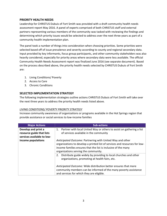#### **PRIORITY HEALTH NEEDS**

Leadership for CHRISTUS Dubuis of Fort Smith was provided with a draft community health needs assessment report May 2016. A panel of experts comprised of both CHRISTUS staff and external partners representing various members of the community was tasked with reviewing the findings and determining which priority issues would be selected to address over the next three years as part of a community health implementation plan.

The panel took a number of things into consideration when choosing priorities. Some priorities were selected based off of issue prevalence and severity according to county and regional secondary data. Input provided by key informants, focus group participants, and other community stakeholders was also heavily considered, especially for priority areas where secondary data were less available. The official Community Health Needs Assessment report was finalized June 2016 (see separate document). Based on the process described above, the priority health needs selected by CHRISTUS Dubuis of Fort Smith are:

- 1. Living Conditions/ Poverty
- 2. Access to Care
- 3. Chronic Conditions

#### **SELECTED IMPLEMENTATION STRATEGY**

The following implementation strategies outline actions CHRISTUS Dubuis of Fort Smith will take over the next three years to address the priority health needs listed above.

#### *LIVING CONDITIONS/ POVERTY PRIORITY STRATEGY*

Increase community awareness of organizations or programs available in the Hot Springs region that provide assistance or social services to low-income families

| <b>Major Actions</b>                                                           | <b>Sub-actions</b>                                                                                                                                                                                                                                |
|--------------------------------------------------------------------------------|---------------------------------------------------------------------------------------------------------------------------------------------------------------------------------------------------------------------------------------------------|
| Develop and print a<br>resource guide that lists<br>services available to low- | Partner with local United Way or others to assist on gathering a list<br>1.<br>of services available in the community                                                                                                                             |
| income populations                                                             | Anticipated Outcome: Partnering with United Way and other<br>organizations to develop a printed list of services and resources for low-<br>income families ensures that the list is inclusive of the many<br>organizations serving the community. |
|                                                                                | Distribute guide widely by providing to local churches and other<br>2.<br>organizations, promoting at health fairs, etc.                                                                                                                          |
|                                                                                | Anticipated Outcome: Wide distribution better ensures that more<br>community members can be informed of the many poverty assistance<br>and services for which they are eligible.                                                                  |